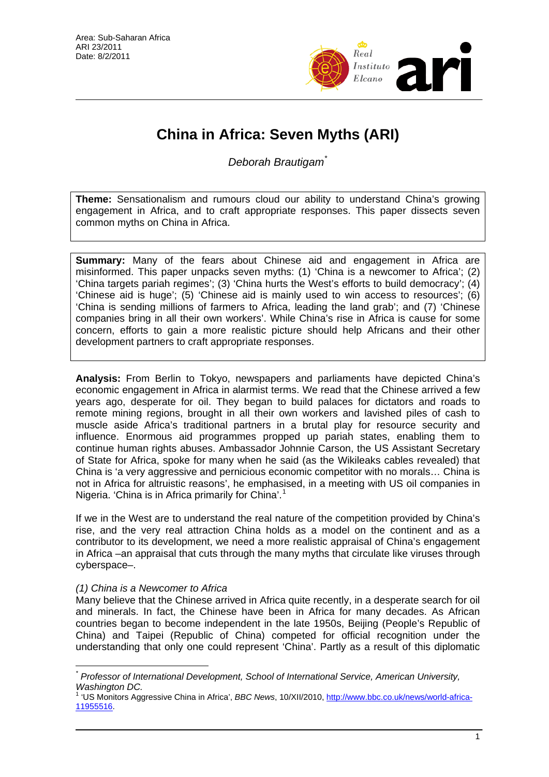

# **China in Africa: Seven Myths (ARI)**

*Deborah Brautigam*[\\*](#page-0-0)

**Theme:** Sensationalism and rumours cloud our ability to understand China's growing engagement in Africa, and to craft appropriate responses. This paper dissects seven common myths on China in Africa.

**Summary:** Many of the fears about Chinese aid and engagement in Africa are misinformed. This paper unpacks seven myths: (1) 'China is a newcomer to Africa'; (2) 'China targets pariah regimes'; (3) 'China hurts the West's efforts to build democracy'; (4) 'Chinese aid is huge'; (5) 'Chinese aid is mainly used to win access to resources'; (6) 'China is sending millions of farmers to Africa, leading the land grab'; and (7) 'Chinese companies bring in all their own workers'. While China's rise in Africa is cause for some concern, efforts to gain a more realistic picture should help Africans and their other development partners to craft appropriate responses.

**Analysis:** From Berlin to Tokyo, newspapers and parliaments have depicted China's economic engagement in Africa in alarmist terms. We read that the Chinese arrived a few years ago, desperate for oil. They began to build palaces for dictators and roads to remote mining regions, brought in all their own workers and lavished piles of cash to muscle aside Africa's traditional partners in a brutal play for resource security and influence. Enormous aid programmes propped up pariah states, enabling them to continue human rights abuses. Ambassador Johnnie Carson, the US Assistant Secretary of State for Africa, spoke for many when he said (as the Wikileaks cables revealed) that China is 'a very aggressive and pernicious economic competitor with no morals… China is not in Africa for altruistic reasons', he emphasised, in a meeting with US oil companies in Nigeria. 'China is in Africa primarily for China'.<sup>[1](#page-0-1)</sup>

If we in the West are to understand the real nature of the competition provided by China's rise, and the very real attraction China holds as a model on the continent and as a contributor to its development, we need a more realistic appraisal of China's engagement in Africa –an appraisal that cuts through the many myths that circulate like viruses through cyberspace–.

# *(1) China is a Newcomer to Africa*

Many believe that the Chinese arrived in Africa quite recently, in a desperate search for oil and minerals. In fact, the Chinese have been in Africa for many decades. As African countries began to become independent in the late 1950s, Beijing (People's Republic of China) and Taipei (Republic of China) competed for official recognition under the understanding that only one could represent 'China'. Partly as a result of this diplomatic

<span id="page-0-0"></span> $\overline{a}$ *\* Professor of International Development, School of International Service, American University, Washington DC.* 

<span id="page-0-1"></span><sup>1</sup> 'US Monitors Aggressive China in Africa', *BBC News*, 10/XII/2010, [http://www.bbc.co.uk/news/world-africa-](http://www.bbc.co.uk/news/world-africa-11955516)[11955516](http://www.bbc.co.uk/news/world-africa-11955516).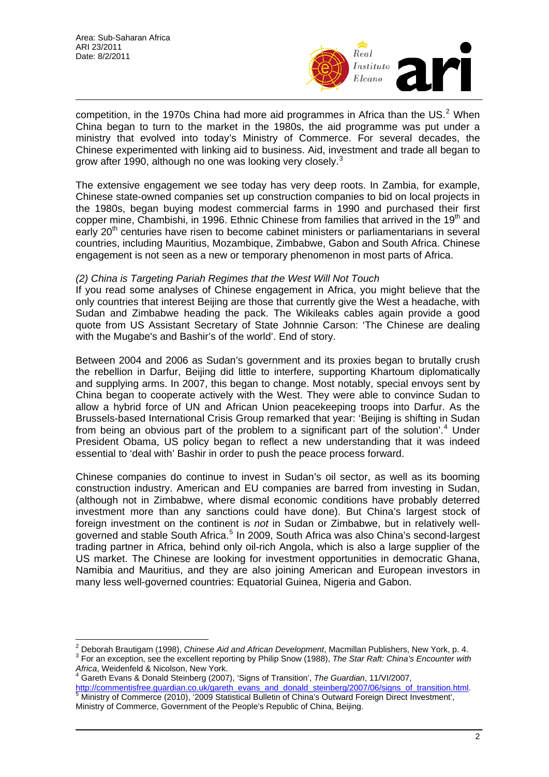

competition, in the 1970s China had more aid programmes in Africa than the US.<sup>[2](#page-1-0)</sup> When China began to turn to the market in the 1980s, the aid programme was put under a ministry that evolved into today's Ministry of Commerce. For several decades, the Chinese experimented with linking aid to business. Aid, investment and trade all began to grow after 1990, although no one was looking very closely.<sup>[3](#page-1-1)</sup>

The extensive engagement we see today has very deep roots. In Zambia, for example, Chinese state-owned companies set up construction companies to bid on local projects in the 1980s, began buying modest commercial farms in 1990 and purchased their first copper mine, Chambishi, in 1996. Ethnic Chinese from families that arrived in the 19th and early 20<sup>th</sup> centuries have risen to become cabinet ministers or parliamentarians in several countries, including Mauritius, Mozambique, Zimbabwe, Gabon and South Africa. Chinese engagement is not seen as a new or temporary phenomenon in most parts of Africa.

## *(2) China is Targeting Pariah Regimes that the West Will Not Touch*

If you read some analyses of Chinese engagement in Africa, you might believe that the only countries that interest Beijing are those that currently give the West a headache, with Sudan and Zimbabwe heading the pack. The Wikileaks cables again provide a good quote from US Assistant Secretary of State Johnnie Carson: 'The Chinese are dealing with the Mugabe's and Bashir's of the world'. End of story.

Between 2004 and 2006 as Sudan's government and its proxies began to brutally crush the rebellion in Darfur, Beijing did little to interfere, supporting Khartoum diplomatically and supplying arms. In 2007, this began to change. Most notably, special envoys sent by China began to cooperate actively with the West. They were able to convince Sudan to allow a hybrid force of UN and African Union peacekeeping troops into Darfur. As the Brussels-based International Crisis Group remarked that year: 'Beijing is shifting in Sudan from being an obvious part of the problem to a significant part of the solution'.<sup>[4](#page-1-2)</sup> Under President Obama, US policy began to reflect a new understanding that it was indeed essential to 'deal with' Bashir in order to push the peace process forward.

Chinese companies do continue to invest in Sudan's oil sector, as well as its booming construction industry. American and EU companies are barred from investing in Sudan, (although not in Zimbabwe, where dismal economic conditions have probably deterred investment more than any sanctions could have done). But China's largest stock of foreign investment on the continent is *not* in Sudan or Zimbabwe, but in relatively well-governed and stable South Africa.<sup>[5](#page-1-3)</sup> In 2009, South Africa was also China's second-largest trading partner in Africa, behind only oil-rich Angola, which is also a large supplier of the US market. The Chinese are looking for investment opportunities in democratic Ghana, Namibia and Mauritius, and they are also joining American and European investors in many less well-governed countries: Equatorial Guinea, Nigeria and Gabon.

<span id="page-1-0"></span> $\overline{a}$ <sup>2</sup> Deborah Brautigam (1998), *Chinese Aid and African Development*, Macmillan Publishers, New York, p. 4.<br><sup>3</sup> Eer an exception, see the excellent reperting by Philip Spow (1988). The Star Poft: Chine's Epocunter with For an exception, see the excellent reporting by Philip Snow (1988), *The Star Raft: China's Encounter with* 

<span id="page-1-2"></span><span id="page-1-1"></span>*Africa*, Weidenfeld & Nicolson, New York. 4 Gareth Evans & Donald Steinberg (2007), 'Signs of Transition', *The Guardian*, 11/VI/2007, [http://commentisfree.guardian.co.uk/gareth\\_evans\\_and\\_donald\\_steinberg/2007/06/signs\\_of\\_transition.html](http://commentisfree.guardian.co.uk/gareth_evans_and_donald_steinberg/2007/06/signs_of_transition.html). Ministry of Commerce (2010), '2009 Statistical Bulletin of China's Outward Foreign Direct Investment',

<span id="page-1-3"></span>Ministry of Commerce, Government of the People's Republic of China, Beijing.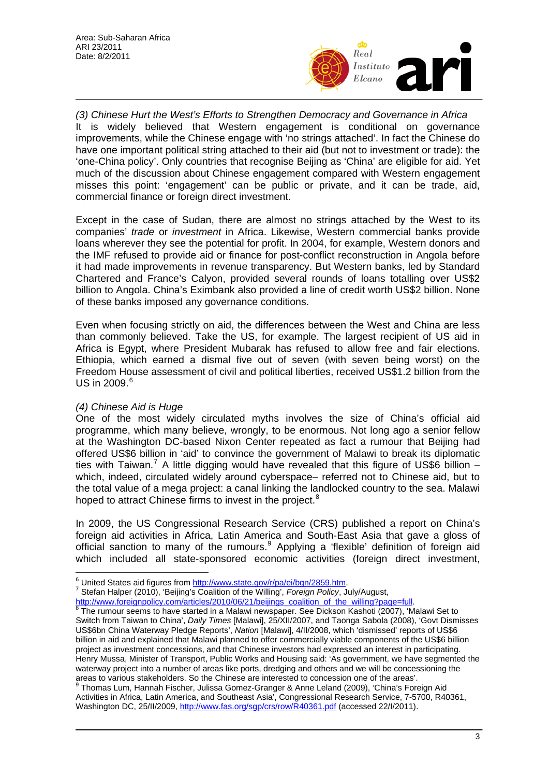

*(3) Chinese Hurt the West's Efforts to Strengthen Democracy and Governance in Africa*  It is widely believed that Western engagement is conditional on governance improvements, while the Chinese engage with 'no strings attached'. In fact the Chinese do have one important political string attached to their aid (but not to investment or trade): the 'one-China policy'. Only countries that recognise Beijing as 'China' are eligible for aid. Yet much of the discussion about Chinese engagement compared with Western engagement misses this point: 'engagement' can be public or private, and it can be trade, aid, commercial finance or foreign direct investment.

Except in the case of Sudan, there are almost no strings attached by the West to its companies' *trade* or *investment* in Africa. Likewise, Western commercial banks provide loans wherever they see the potential for profit. In 2004, for example, Western donors and the IMF refused to provide aid or finance for post-conflict reconstruction in Angola before it had made improvements in revenue transparency. But Western banks, led by Standard Chartered and France's Calyon, provided several rounds of loans totalling over US\$2 billion to Angola. China's Eximbank also provided a line of credit worth US\$2 billion. None of these banks imposed any governance conditions.

Even when focusing strictly on aid, the differences between the West and China are less than commonly believed. Take the US, for example. The largest recipient of US aid in Africa is Egypt, where President Mubarak has refused to allow free and fair elections. Ethiopia, which earned a dismal five out of seven (with seven being worst) on the Freedom House assessment of civil and political liberties, received US\$1.2 billion from the US in 2009.<sup>[6](#page-2-0)</sup>

## *(4) Chinese Aid is Huge*

One of the most widely circulated myths involves the size of China's official aid programme, which many believe, wrongly, to be enormous. Not long ago a senior fellow at the Washington DC-based Nixon Center repeated as fact a rumour that Beijing had offered US\$6 billion in 'aid' to convince the government of Malawi to break its diplomatic ties with Taiwan.<sup>[7](#page-2-1)</sup> A little digging would have revealed that this figure of US\$6 billion which, indeed, circulated widely around cyberspace– referred not to Chinese aid, but to the total value of a mega project: a canal linking the landlocked country to the sea. Malawi hoped to attract Chinese firms to invest in the project.<sup>[8](#page-2-2)</sup>

In 2009, the US Congressional Research Service (CRS) published a report on China's foreign aid activities in Africa, Latin America and South-East Asia that gave a gloss of official sanction to many of the rumours.<sup>[9](#page-2-3)</sup> Applying a 'flexible' definition of foreign aid which included all state-sponsored economic activities (foreign direct investment,

<span id="page-2-0"></span>Stefan Halper (2010), 'Beijing's Coalition of the Willing', *Foreign Policy*, July/August,

<span id="page-2-2"></span><span id="page-2-1"></span><u>http://www.foreignpolicy.com/articles/2010/06/21/beijings\_coalition\_of\_the\_willing?page=full</u>.<br><sup>[8](http://www.foreignpolicy.com/articles/2010/06/21/beijings_coalition_of_the_willing?page=full)</sup> The rumour seems to have started in a Malawi newspaper. See Dickson Kashoti (2007), 'Malawi Set to Switch from Taiwan to China', *Daily Times* [Malawi], 25/XII/2007, and Taonga Sabola (2008), 'Govt Dismisses US\$6bn China Waterway Pledge Reports', *Nation* [Malawi], 4/II/2008, which 'dismissed' reports of US\$6 billion in aid and explained that Malawi planned to offer commercially viable components of the US\$6 billion project as investment concessions, and that Chinese investors had expressed an interest in participating. Henry Mussa, Minister of Transport, Public Works and Housing said: 'As government, we have segmented the waterway project into a number of areas like ports, dredging and others and we will be concessioning the areas to various stakeholders. So the Chinese are interested to concession one of the areas'.<br><sup>9</sup> Thomas Lum, Hannah Fischer, Julissa Gomez-Granger & Anne Leland (2009), 'China's Foreign Aid

<span id="page-2-3"></span>Activities in Africa, Latin America, and Southeast Asia', Congressional Research Service, 7-5700, R40361, Washington DC, 25/II/2009,<http://www.fas.org/sgp/crs/row/R40361.pdf>(accessed 22/I/2011).

 $\overline{a}$ <sup>6</sup> United States aid figures from<http://www.state.gov/r/pa/ei/bgn/2859.htm>.<br>7 Stefan Helper (2010), 'Beijing's Coolition of the Willing', *Foreign Poliny*, Ju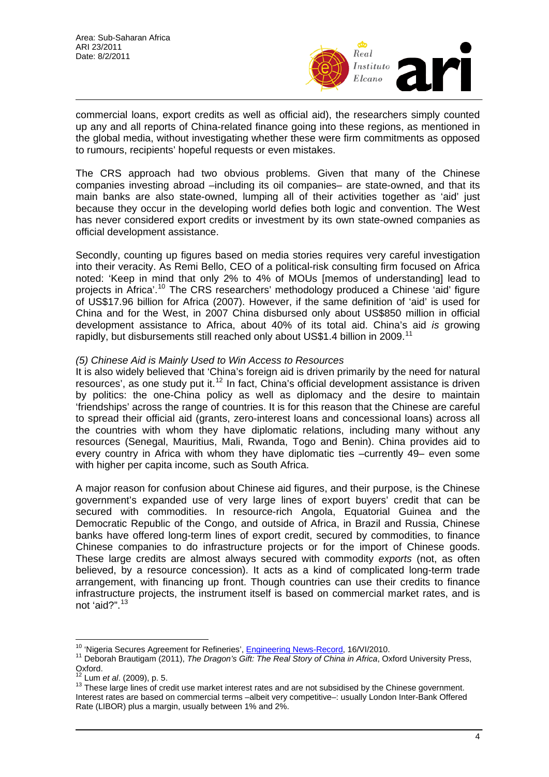

commercial loans, export credits as well as official aid), the researchers simply counted up any and all reports of China-related finance going into these regions, as mentioned in the global media, without investigating whether these were firm commitments as opposed to rumours, recipients' hopeful requests or even mistakes.

The CRS approach had two obvious problems. Given that many of the Chinese companies investing abroad –including its oil companies– are state-owned, and that its main banks are also state-owned, lumping all of their activities together as 'aid' just because they occur in the developing world defies both logic and convention. The West has never considered export credits or investment by its own state-owned companies as official development assistance.

Secondly, counting up figures based on media stories requires very careful investigation into their veracity. As Remi Bello, CEO of a political-risk consulting firm focused on Africa noted: 'Keep in mind that only 2% to 4% of MOUs [memos of understanding] lead to projects in Africa'.[10](#page-3-0) The CRS researchers' methodology produced a Chinese 'aid' figure of US\$17.96 billion for Africa (2007). However, if the same definition of 'aid' is used for China and for the West, in 2007 China disbursed only about US\$850 million in official development assistance to Africa, about 40% of its total aid. China's aid *is* growing rapidly, but disbursements still reached only about US\$1.4 billion in 2009.<sup>[11](#page-3-1)</sup>

#### *(5) Chinese Aid is Mainly Used to Win Access to Resources*

It is also widely believed that 'China's foreign aid is driven primarily by the need for natural resources', as one study put it.<sup>[12](#page-3-2)</sup> In fact, China's official development assistance is driven by politics: the one-China policy as well as diplomacy and the desire to maintain 'friendships' across the range of countries. It is for this reason that the Chinese are careful to spread their official aid (grants, zero-interest loans and concessional loans) across all the countries with whom they have diplomatic relations, including many without any resources (Senegal, Mauritius, Mali, Rwanda, Togo and Benin). China provides aid to every country in Africa with whom they have diplomatic ties –currently 49– even some with higher per capita income, such as South Africa.

A major reason for confusion about Chinese aid figures, and their purpose, is the Chinese government's expanded use of very large lines of export buyers' credit that can be secured with commodities. In resource-rich Angola, Equatorial Guinea and the Democratic Republic of the Congo, and outside of Africa, in Brazil and Russia, Chinese banks have offered long-term lines of export credit, secured by commodities, to finance Chinese companies to do infrastructure projects or for the import of Chinese goods. These large credits are almost always secured with commodity *exports* (not, as often believed, by a resource concession). It acts as a kind of complicated long-term trade arrangement, with financing up front. Though countries can use their credits to finance infrastructure projects, the instrument itself is based on commercial market rates, and is not 'aid?".<sup>[13](#page-3-3)</sup>

 $\overline{a}$ 

<span id="page-3-1"></span><span id="page-3-0"></span><sup>&</sup>lt;sup>10</sup> 'Nigeria Secures Agreement for Refineries', *Engineering News-Record*, 16/VI/2010.<br><sup>11</sup> Deborah Brautigam (2011), *The Dragon's Gift: The Real Story of China in Africa*, Oxford University Press, Oxford.<br> $12$  Lum *et al.* (2009), p. 5.

<span id="page-3-2"></span>

<span id="page-3-3"></span><sup>&</sup>lt;sup>13</sup> These large lines of credit use market interest rates and are not subsidised by the Chinese government. Interest rates are based on commercial terms –albeit very competitive–: usually London Inter-Bank Offered Rate (LIBOR) plus a margin, usually between 1% and 2%.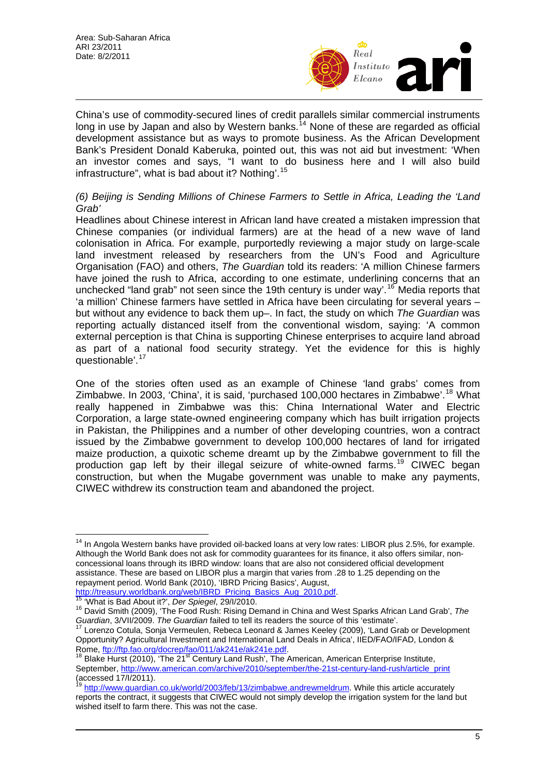

China's use of commodity-secured lines of credit parallels similar commercial instruments long in use by Japan and also by Western banks.<sup>[14](#page-4-0)</sup> None of these are regarded as official development assistance but as ways to promote business. As the African Development Bank's President Donald Kaberuka, pointed out, this was not aid but investment: 'When an investor comes and says, "I want to do business here and I will also build infrastructure", what is bad about it? Nothing'.[15](#page-4-1)

## *(6) Beijing is Sending Millions of Chinese Farmers to Settle in Africa, Leading the 'Land Grab'*

Headlines about Chinese interest in African land have created a mistaken impression that Chinese companies (or individual farmers) are at the head of a new wave of land colonisation in Africa. For example, purportedly reviewing a major study on large-scale land investment released by researchers from the UN's Food and Agriculture Organisation (FAO) and others, *The Guardian* told its readers: 'A million Chinese farmers have joined the rush to Africa, according to one estimate, underlining concerns that an unchecked "land grab" not seen since the 19th century is under way'.<sup>[16](#page-4-2)</sup> Media reports that 'a million' Chinese farmers have settled in Africa have been circulating for several years – but without any evidence to back them up–. In fact, the study on which *The Guardian* was reporting actually distanced itself from the conventional wisdom, saying: 'A common external perception is that China is supporting Chinese enterprises to acquire land abroad as part of a national food security strategy. Yet the evidence for this is highly questionable'.[17](#page-4-3)

One of the stories often used as an example of Chinese 'land grabs' comes from Zimbabwe. In 2003, 'China', it is said, 'purchased 100,000 hectares in Zimbabwe'.<sup>[18](#page-4-4)</sup> What really happened in Zimbabwe was this: China International Water and Electric Corporation, a large state-owned engineering company which has built irrigation projects in Pakistan, the Philippines and a number of other developing countries, won a contract issued by the Zimbabwe government to develop 100,000 hectares of land for irrigated maize production, a quixotic scheme dreamt up by the Zimbabwe government to fill the production gap left by their illegal seizure of white-owned farms.[19](#page-4-5) CIWEC began construction, but when the Mugabe government was unable to make any payments, CIWEC withdrew its construction team and abandoned the project.

<span id="page-4-2"></span><span id="page-4-1"></span>

<span id="page-4-0"></span> $\overline{a}$  $14$  In Angola Western banks have provided oil-backed loans at very low rates: LIBOR plus 2.5%, for example. Although the World Bank does not ask for commodity guarantees for its finance, it also offers similar, nonconcessional loans through its IBRD window: loans that are also not considered official development assistance. These are based on LIBOR plus a margin that varies from .28 to 1.25 depending on the repayment period. World Bank (2010), 'IBRD Pricing Basics', August,

[http://treasury.worldbank.org/web/IBRD\\_Pricing\\_Basics\\_Aug\\_2010.pdf](http://treasury.worldbank.org/web/IBRD_Pricing_Basics_Aug_2010.pdf).<br><sup>15</sup> 'What is Bad About it?', *Der Spiegel*, 29/I/2010.<br><sup>16</sup> David Smith (2009), 'The Food Rush: Rising Demand in China and West Sparks African Land Grab' Guardian, 3/VII/2009. *The Guardian failed to tell its readers the source of this 'estimate'.*<br><sup>17</sup> Lorenzo Cotula, Sonja Vermeulen, Rebeca Leonard & James Keeley (2009), 'Land Grab or Development

<span id="page-4-3"></span>Opportunity? Agricultural Investment and International Land Deals in Africa', IIED/FAO/IFAD, London &

<span id="page-4-4"></span>Rome, *ftp://ftp.fao.org/docrep/fao/011/ak241e/ak241e.pdf*.<br><sup>18</sup> Blake Hurst (2010), 'The 21<sup>st</sup> Century Land Rush', The American, American Enterprise Institute, September, [http://www.american.com/archive/2010/september/the-21st-century-land-rush/article\\_print](http://www.american.com/archive/2010/september/the-21st-century-land-rush/article_print) (accessed 17/I/2011).

<span id="page-4-5"></span><http://www.guardian.co.uk/world/2003/feb/13/zimbabwe.andrewmeldrum>. While this article accurately reports the contract, it suggests that CIWEC would not simply develop the irrigation system for the land but wished itself to farm there. This was not the case.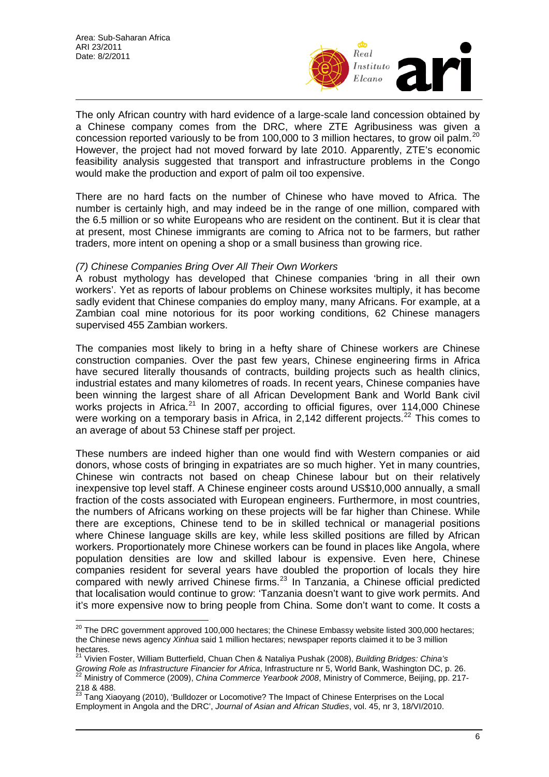

The only African country with hard evidence of a large-scale land concession obtained by a Chinese company comes from the DRC, where ZTE Agribusiness was given a concession reported variously to be from 100,000 to 3 million hectares, to grow oil palm.<sup>[20](#page-5-0)</sup> However, the project had not moved forward by late 2010. Apparently, ZTE's economic feasibility analysis suggested that transport and infrastructure problems in the Congo would make the production and export of palm oil too expensive.

There are no hard facts on the number of Chinese who have moved to Africa. The number is certainly high, and may indeed be in the range of one million, compared with the 6.5 million or so white Europeans who are resident on the continent. But it is clear that at present, most Chinese immigrants are coming to Africa not to be farmers, but rather traders, more intent on opening a shop or a small business than growing rice.

#### *(7) Chinese Companies Bring Over All Their Own Workers*

A robust mythology has developed that Chinese companies 'bring in all their own workers'. Yet as reports of labour problems on Chinese worksites multiply, it has become sadly evident that Chinese companies do employ many, many Africans. For example, at a Zambian coal mine notorious for its poor working conditions, 62 Chinese managers supervised 455 Zambian workers.

The companies most likely to bring in a hefty share of Chinese workers are Chinese construction companies. Over the past few years, Chinese engineering firms in Africa have secured literally thousands of contracts, building projects such as health clinics, industrial estates and many kilometres of roads. In recent years, Chinese companies have been winning the largest share of all African Development Bank and World Bank civil works projects in Africa.<sup>[21](#page-5-1)</sup> In 2007, according to official figures, over 114,000 Chinese were working on a temporary basis in Africa, in 2,142 different projects.<sup>[22](#page-5-2)</sup> This comes to an average of about 53 Chinese staff per project.

These numbers are indeed higher than one would find with Western companies or aid donors, whose costs of bringing in expatriates are so much higher. Yet in many countries, Chinese win contracts not based on cheap Chinese labour but on their relatively inexpensive top level staff. A Chinese engineer costs around US\$10,000 annually, a small fraction of the costs associated with European engineers. Furthermore, in most countries, the numbers of Africans working on these projects will be far higher than Chinese. While there are exceptions, Chinese tend to be in skilled technical or managerial positions where Chinese language skills are key, while less skilled positions are filled by African workers. Proportionately more Chinese workers can be found in places like Angola, where population densities are low and skilled labour is expensive. Even here, Chinese companies resident for several years have doubled the proportion of locals they hire compared with newly arrived Chinese firms.<sup>[23](#page-5-3)</sup> In Tanzania, a Chinese official predicted that localisation would continue to grow: 'Tanzania doesn't want to give work permits. And it's more expensive now to bring people from China. Some don't want to come. It costs a

 $\overline{\phantom{a}}$ 

<span id="page-5-0"></span> $20$  The DRC government approved 100,000 hectares; the Chinese Embassy website listed 300,000 hectares; the Chinese news agency *Xinhua* said 1 million hectares; newspaper reports claimed it to be 3 million hectares.

<span id="page-5-1"></span><sup>21</sup> Vivien Foster, William Butterfield, Chuan Chen & Nataliya Pushak (2008), *Building Bridges: China's Growing Role as Infrastructure Financier for Africa*, Infrastructure nr 5, World Bank, Washington DC, p. 26. 22 Ministry of Commerce (2009), *China Commerce Yearbook 2008*, Ministry of Commerce, Beijing, pp. 217-

<span id="page-5-2"></span><sup>218 &</sup>amp; 488.

<span id="page-5-3"></span> $^{23}$  Tang Xiaoyang (2010), 'Bulldozer or Locomotive? The Impact of Chinese Enterprises on the Local Employment in Angola and the DRC', *Journal of Asian and African Studies*, vol. 45, nr 3, 18/VI/2010.